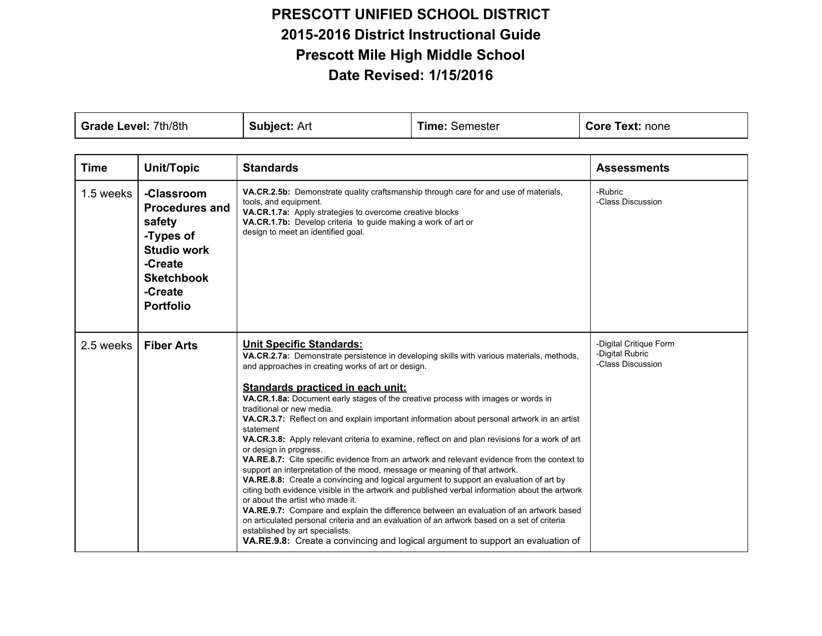## **PRESCOTT UNIFIED SCHOOL DISTRICT 20152016 District Instructional Guide Prescott Mile High Middle School Date Revised: 1/15/2016**

| Grade Level: 7th/8th |                                                                                                                                                 | <b>Subject: Art</b>                                                                                                                                                                                                                                                                                                                                                                                                                                                                                                                                                                                                                                                                                                                                                                                                                                                                                                                                                                                                                                                                                                                                                                                                                                                                                                          | <b>Time: Semester</b> | <b>Core Text: none</b>                                         |
|----------------------|-------------------------------------------------------------------------------------------------------------------------------------------------|------------------------------------------------------------------------------------------------------------------------------------------------------------------------------------------------------------------------------------------------------------------------------------------------------------------------------------------------------------------------------------------------------------------------------------------------------------------------------------------------------------------------------------------------------------------------------------------------------------------------------------------------------------------------------------------------------------------------------------------------------------------------------------------------------------------------------------------------------------------------------------------------------------------------------------------------------------------------------------------------------------------------------------------------------------------------------------------------------------------------------------------------------------------------------------------------------------------------------------------------------------------------------------------------------------------------------|-----------------------|----------------------------------------------------------------|
|                      |                                                                                                                                                 |                                                                                                                                                                                                                                                                                                                                                                                                                                                                                                                                                                                                                                                                                                                                                                                                                                                                                                                                                                                                                                                                                                                                                                                                                                                                                                                              |                       |                                                                |
| <b>Time</b>          | <b>Unit/Topic</b>                                                                                                                               | <b>Standards</b>                                                                                                                                                                                                                                                                                                                                                                                                                                                                                                                                                                                                                                                                                                                                                                                                                                                                                                                                                                                                                                                                                                                                                                                                                                                                                                             |                       | <b>Assessments</b>                                             |
| 1.5 weeks            | -Classroom<br><b>Procedures and</b><br>safety<br>-Types of<br><b>Studio work</b><br>-Create<br><b>Sketchbook</b><br>-Create<br><b>Portfolio</b> | VA.CR.2.5b: Demonstrate quality craftsmanship through care for and use of materials,<br>tools, and equipment.<br>VA.CR.1.7a: Apply strategies to overcome creative blocks<br>VA.CR.1.7b: Develop criteria to guide making a work of art or<br>design to meet an identified goal.                                                                                                                                                                                                                                                                                                                                                                                                                                                                                                                                                                                                                                                                                                                                                                                                                                                                                                                                                                                                                                             |                       | -Rubric<br>-Class Discussion                                   |
| 2.5 weeks            | <b>Fiber Arts</b>                                                                                                                               | <b>Unit Specific Standards:</b><br>VA.CR.2.7a: Demonstrate persistence in developing skills with various materials, methods,<br>and approaches in creating works of art or design.<br>Standards practiced in each unit:<br>VA.CR.1.8a: Document early stages of the creative process with images or words in<br>traditional or new media.<br>VA.CR.3.7: Reflect on and explain important information about personal artwork in an artist<br>statement<br>VA.CR.3.8: Apply relevant criteria to examine, reflect on and plan revisions for a work of art<br>or design in progress.<br><b>VA.RE.8.7:</b> Cite specific evidence from an artwork and relevant evidence from the context to<br>support an interpretation of the mood, message or meaning of that artwork.<br>VA.RE.8.8: Create a convincing and logical argument to support an evaluation of art by<br>citing both evidence visible in the artwork and published verbal information about the artwork<br>or about the artist who made it.<br>VA.RE.9.7: Compare and explain the difference between an evaluation of an artwork based<br>on articulated personal criteria and an evaluation of an artwork based on a set of criteria<br>established by art specialists.<br><b>VA.RE.9.8:</b> Create a convincing and logical argument to support an evaluation of |                       | -Digital Critique Form<br>-Digital Rubric<br>-Class Discussion |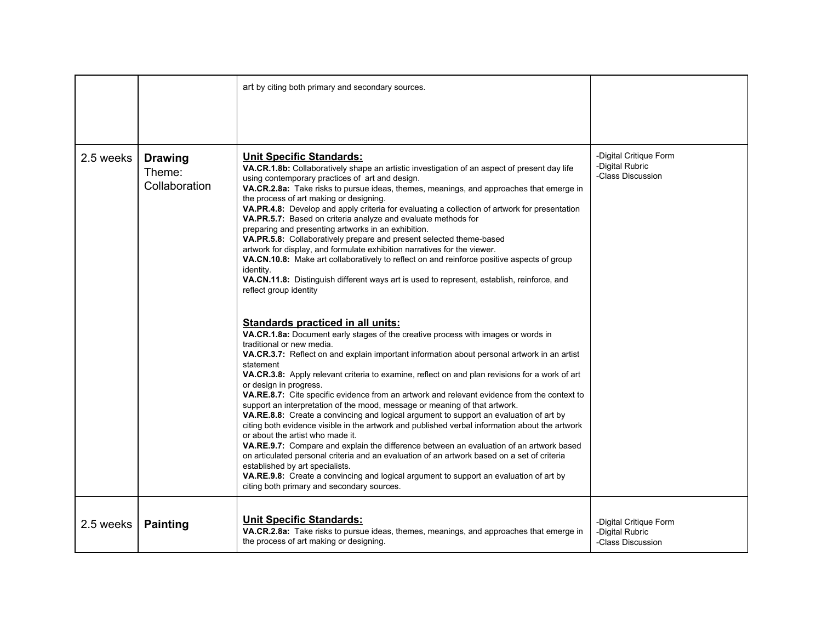|           |                                           | art by citing both primary and secondary sources.                                                                                                                                                                                                                                                                                                                                                                                                                                                                                                                                                                                                                                                                                                                                                                                                                                                                                                                                                                                                                                                                                                                                                                                                                                                                                                                                                                                                                                                                                                                                                                                                                                                                                                                                                                                                                                                                                                                                                                                                                                                                               |                                                                |
|-----------|-------------------------------------------|---------------------------------------------------------------------------------------------------------------------------------------------------------------------------------------------------------------------------------------------------------------------------------------------------------------------------------------------------------------------------------------------------------------------------------------------------------------------------------------------------------------------------------------------------------------------------------------------------------------------------------------------------------------------------------------------------------------------------------------------------------------------------------------------------------------------------------------------------------------------------------------------------------------------------------------------------------------------------------------------------------------------------------------------------------------------------------------------------------------------------------------------------------------------------------------------------------------------------------------------------------------------------------------------------------------------------------------------------------------------------------------------------------------------------------------------------------------------------------------------------------------------------------------------------------------------------------------------------------------------------------------------------------------------------------------------------------------------------------------------------------------------------------------------------------------------------------------------------------------------------------------------------------------------------------------------------------------------------------------------------------------------------------------------------------------------------------------------------------------------------------|----------------------------------------------------------------|
| 2.5 weeks | <b>Drawing</b><br>Theme:<br>Collaboration | <b>Unit Specific Standards:</b><br>VA.CR.1.8b: Collaboratively shape an artistic investigation of an aspect of present day life<br>using contemporary practices of art and design.<br>VA.CR.2.8a: Take risks to pursue ideas, themes, meanings, and approaches that emerge in<br>the process of art making or designing.<br>VA.PR.4.8: Develop and apply criteria for evaluating a collection of artwork for presentation<br>VA.PR.5.7: Based on criteria analyze and evaluate methods for<br>preparing and presenting artworks in an exhibition.<br>VA.PR.5.8: Collaboratively prepare and present selected theme-based<br>artwork for display, and formulate exhibition narratives for the viewer.<br>VA.CN.10.8: Make art collaboratively to reflect on and reinforce positive aspects of group<br>identity.<br>VA.CN.11.8: Distinguish different ways art is used to represent, establish, reinforce, and<br>reflect group identity<br><b>Standards practiced in all units:</b><br>VA.CR.1.8a: Document early stages of the creative process with images or words in<br>traditional or new media.<br>VA.CR.3.7: Reflect on and explain important information about personal artwork in an artist<br>statement<br>VA.CR.3.8: Apply relevant criteria to examine, reflect on and plan revisions for a work of art<br>or design in progress.<br>VA.RE.8.7: Cite specific evidence from an artwork and relevant evidence from the context to<br>support an interpretation of the mood, message or meaning of that artwork.<br>VA.RE.8.8: Create a convincing and logical argument to support an evaluation of art by<br>citing both evidence visible in the artwork and published verbal information about the artwork<br>or about the artist who made it.<br>VA.RE.9.7: Compare and explain the difference between an evaluation of an artwork based<br>on articulated personal criteria and an evaluation of an artwork based on a set of criteria<br>established by art specialists.<br>VA.RE.9.8: Create a convincing and logical argument to support an evaluation of art by<br>citing both primary and secondary sources. | -Digital Critique Form<br>-Digital Rubric<br>-Class Discussion |
| 2.5 weeks | <b>Painting</b>                           | <b>Unit Specific Standards:</b><br>VA.CR.2.8a: Take risks to pursue ideas, themes, meanings, and approaches that emerge in<br>the process of art making or designing.                                                                                                                                                                                                                                                                                                                                                                                                                                                                                                                                                                                                                                                                                                                                                                                                                                                                                                                                                                                                                                                                                                                                                                                                                                                                                                                                                                                                                                                                                                                                                                                                                                                                                                                                                                                                                                                                                                                                                           | -Digital Critique Form<br>-Digital Rubric<br>-Class Discussion |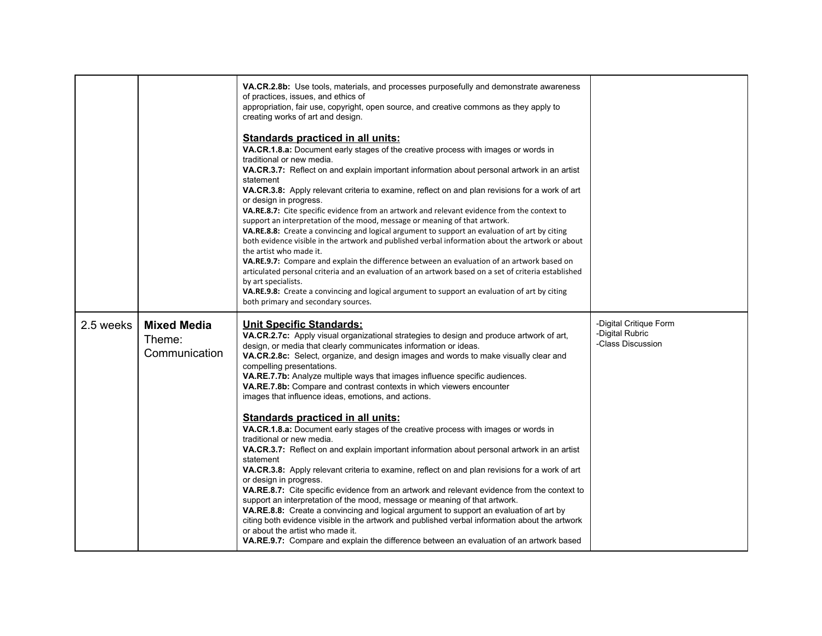|           |                                               | VA.CR.2.8b: Use tools, materials, and processes purposefully and demonstrate awareness<br>of practices, issues, and ethics of<br>appropriation, fair use, copyright, open source, and creative commons as they apply to<br>creating works of art and design.<br><b>Standards practiced in all units:</b><br>VA.CR.1.8.a: Document early stages of the creative process with images or words in<br>traditional or new media.<br><b>VA.CR.3.7:</b> Reflect on and explain important information about personal artwork in an artist<br>statement<br>VA.CR.3.8: Apply relevant criteria to examine, reflect on and plan revisions for a work of art<br>or design in progress.<br>VA.RE.8.7: Cite specific evidence from an artwork and relevant evidence from the context to<br>support an interpretation of the mood, message or meaning of that artwork.<br>VA.RE.8.8: Create a convincing and logical argument to support an evaluation of art by citing<br>both evidence visible in the artwork and published verbal information about the artwork or about<br>the artist who made it.<br>VA.RE.9.7: Compare and explain the difference between an evaluation of an artwork based on<br>articulated personal criteria and an evaluation of an artwork based on a set of criteria established<br>by art specialists.<br><b>VA.RE.9.8:</b> Create a convincing and logical argument to support an evaluation of art by citing<br>both primary and secondary sources. |                                                                |
|-----------|-----------------------------------------------|---------------------------------------------------------------------------------------------------------------------------------------------------------------------------------------------------------------------------------------------------------------------------------------------------------------------------------------------------------------------------------------------------------------------------------------------------------------------------------------------------------------------------------------------------------------------------------------------------------------------------------------------------------------------------------------------------------------------------------------------------------------------------------------------------------------------------------------------------------------------------------------------------------------------------------------------------------------------------------------------------------------------------------------------------------------------------------------------------------------------------------------------------------------------------------------------------------------------------------------------------------------------------------------------------------------------------------------------------------------------------------------------------------------------------------------------------------------------|----------------------------------------------------------------|
| 2.5 weeks | <b>Mixed Media</b><br>Theme:<br>Communication | <b>Unit Specific Standards:</b><br>VA.CR.2.7c: Apply visual organizational strategies to design and produce artwork of art,<br>design, or media that clearly communicates information or ideas.<br>VA.CR.2.8c: Select, organize, and design images and words to make visually clear and<br>compelling presentations.<br>VA.RE.7.7b: Analyze multiple ways that images influence specific audiences.<br>VA.RE.7.8b: Compare and contrast contexts in which viewers encounter<br>images that influence ideas, emotions, and actions.<br><b>Standards practiced in all units:</b><br>VA.CR.1.8.a: Document early stages of the creative process with images or words in<br>traditional or new media.<br>VA.CR.3.7: Reflect on and explain important information about personal artwork in an artist<br>statement<br>VA.CR.3.8: Apply relevant criteria to examine, reflect on and plan revisions for a work of art<br>or design in progress.<br>VA.RE.8.7: Cite specific evidence from an artwork and relevant evidence from the context to<br>support an interpretation of the mood, message or meaning of that artwork.<br><b>VA.RE.8.8:</b> Create a convincing and logical argument to support an evaluation of art by<br>citing both evidence visible in the artwork and published verbal information about the artwork<br>or about the artist who made it.<br><b>VA.RE.9.7:</b> Compare and explain the difference between an evaluation of an artwork based     | -Digital Critique Form<br>-Digital Rubric<br>-Class Discussion |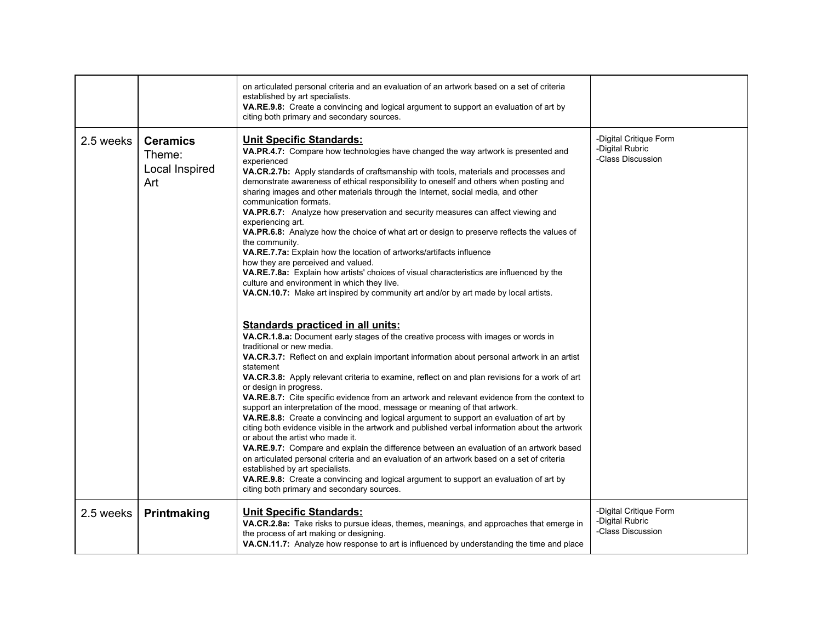|           |                                                    | on articulated personal criteria and an evaluation of an artwork based on a set of criteria<br>established by art specialists.<br>VA.RE.9.8: Create a convincing and logical argument to support an evaluation of art by<br>citing both primary and secondary sources.                                                                                                                                                                                                                                                                                                                                                                                                                                                                                                                                                                                                                                                                                                                                                                                                                                                                                                                                                                                                                                                                                                                                                                                                                                                                                                                                                                                                                                                                                                                                                                                                                                                                                                                                                                                                                                                                                         |                                                                |
|-----------|----------------------------------------------------|----------------------------------------------------------------------------------------------------------------------------------------------------------------------------------------------------------------------------------------------------------------------------------------------------------------------------------------------------------------------------------------------------------------------------------------------------------------------------------------------------------------------------------------------------------------------------------------------------------------------------------------------------------------------------------------------------------------------------------------------------------------------------------------------------------------------------------------------------------------------------------------------------------------------------------------------------------------------------------------------------------------------------------------------------------------------------------------------------------------------------------------------------------------------------------------------------------------------------------------------------------------------------------------------------------------------------------------------------------------------------------------------------------------------------------------------------------------------------------------------------------------------------------------------------------------------------------------------------------------------------------------------------------------------------------------------------------------------------------------------------------------------------------------------------------------------------------------------------------------------------------------------------------------------------------------------------------------------------------------------------------------------------------------------------------------------------------------------------------------------------------------------------------------|----------------------------------------------------------------|
| 2.5 weeks | <b>Ceramics</b><br>Theme:<br>Local Inspired<br>Art | <b>Unit Specific Standards:</b><br>VA.PR.4.7: Compare how technologies have changed the way artwork is presented and<br>experienced<br>VA.CR.2.7b: Apply standards of craftsmanship with tools, materials and processes and<br>demonstrate awareness of ethical responsibility to oneself and others when posting and<br>sharing images and other materials through the Internet, social media, and other<br>communication formats.<br><b>VA.PR.6.7:</b> Analyze how preservation and security measures can affect viewing and<br>experiencing art.<br>VA.PR.6.8: Analyze how the choice of what art or design to preserve reflects the values of<br>the community.<br>VA.RE.7.7a: Explain how the location of artworks/artifacts influence<br>how they are perceived and valued.<br>VA.RE.7.8a: Explain how artists' choices of visual characteristics are influenced by the<br>culture and environment in which they live.<br>VA.CN.10.7: Make art inspired by community art and/or by art made by local artists.<br><b>Standards practiced in all units:</b><br>VA.CR.1.8.a: Document early stages of the creative process with images or words in<br>traditional or new media.<br>VA.CR.3.7: Reflect on and explain important information about personal artwork in an artist<br>statement<br>VA.CR.3.8: Apply relevant criteria to examine, reflect on and plan revisions for a work of art<br>or design in progress.<br>VA.RE.8.7: Cite specific evidence from an artwork and relevant evidence from the context to<br>support an interpretation of the mood, message or meaning of that artwork.<br>VA.RE.8.8: Create a convincing and logical argument to support an evaluation of art by<br>citing both evidence visible in the artwork and published verbal information about the artwork<br>or about the artist who made it.<br>VA.RE.9.7: Compare and explain the difference between an evaluation of an artwork based<br>on articulated personal criteria and an evaluation of an artwork based on a set of criteria<br>established by art specialists.<br>VA.RE.9.8: Create a convincing and logical argument to support an evaluation of art by | -Digital Critique Form<br>-Digital Rubric<br>-Class Discussion |
| 2.5 weeks | Printmaking                                        | citing both primary and secondary sources.<br><b>Unit Specific Standards:</b><br>VA.CR.2.8a: Take risks to pursue ideas, themes, meanings, and approaches that emerge in<br>the process of art making or designing.<br>VA.CN.11.7: Analyze how response to art is influenced by understanding the time and place                                                                                                                                                                                                                                                                                                                                                                                                                                                                                                                                                                                                                                                                                                                                                                                                                                                                                                                                                                                                                                                                                                                                                                                                                                                                                                                                                                                                                                                                                                                                                                                                                                                                                                                                                                                                                                               | -Digital Critique Form<br>-Digital Rubric<br>-Class Discussion |